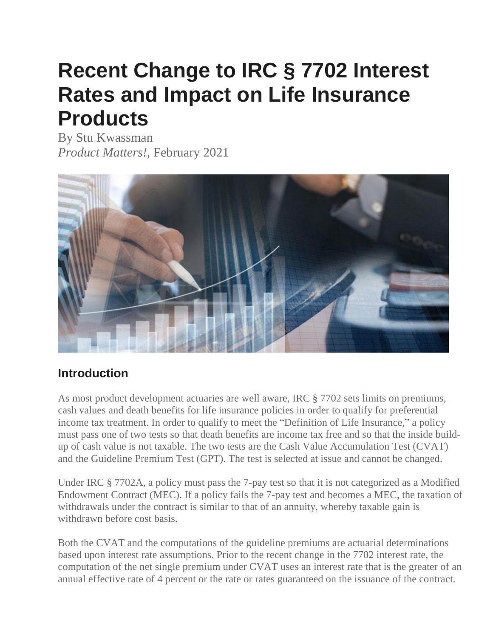# **Recent Change to IRC § 7702 Interest Rates and Impact on Life Insurance Products**

By Stu Kwassman *Product Matters!*, February 2021



#### **Introduction**

As most product development actuaries are well aware, IRC § 7702 sets limits on premiums, cash values and death benefits for life insurance policies in order to qualify for preferential income tax treatment. In order to qualify to meet the "Definition of Life Insurance," a policy must pass one of two tests so that death benefits are income tax free and so that the inside buildup of cash value is not taxable. The two tests are the Cash Value Accumulation Test (CVAT) and the Guideline Premium Test (GPT). The test is selected at issue and cannot be changed.

Under IRC § 7702A, a policy must pass the 7-pay test so that it is not categorized as a Modified Endowment Contract (MEC). If a policy fails the 7-pay test and becomes a MEC, the taxation of withdrawals under the contract is similar to that of an annuity, whereby taxable gain is withdrawn before cost basis.

Both the CVAT and the computations of the guideline premiums are actuarial determinations based upon interest rate assumptions. Prior to the recent change in the 7702 interest rate, the computation of the net single premium under CVAT uses an interest rate that is the greater of an annual effective rate of 4 percent or the rate or rates guaranteed on the issuance of the contract.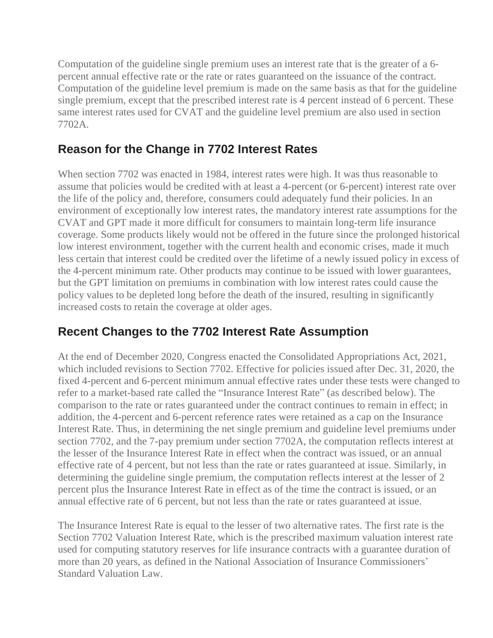Computation of the guideline single premium uses an interest rate that is the greater of a 6 percent annual effective rate or the rate or rates guaranteed on the issuance of the contract. Computation of the guideline level premium is made on the same basis as that for the guideline single premium, except that the prescribed interest rate is 4 percent instead of 6 percent. These same interest rates used for CVAT and the guideline level premium are also used in section 7702A.

# **Reason for the Change in 7702 Interest Rates**

When section 7702 was enacted in 1984, interest rates were high. It was thus reasonable to assume that policies would be credited with at least a 4-percent (or 6-percent) interest rate over the life of the policy and, therefore, consumers could adequately fund their policies. In an environment of exceptionally low interest rates, the mandatory interest rate assumptions for the CVAT and GPT made it more difficult for consumers to maintain long-term life insurance coverage. Some products likely would not be offered in the future since the prolonged historical low interest environment, together with the current health and economic crises, made it much less certain that interest could be credited over the lifetime of a newly issued policy in excess of the 4-percent minimum rate. Other products may continue to be issued with lower guarantees, but the GPT limitation on premiums in combination with low interest rates could cause the policy values to be depleted long before the death of the insured, resulting in significantly increased costs to retain the coverage at older ages.

### **Recent Changes to the 7702 Interest Rate Assumption**

At the end of December 2020, Congress enacted the Consolidated Appropriations Act, 2021, which included revisions to Section 7702. Effective for policies issued after Dec. 31, 2020, the fixed 4-percent and 6-percent minimum annual effective rates under these tests were changed to refer to a market-based rate called the "Insurance Interest Rate" (as described below). The comparison to the rate or rates guaranteed under the contract continues to remain in effect; in addition, the 4-percent and 6-percent reference rates were retained as a cap on the Insurance Interest Rate. Thus, in determining the net single premium and guideline level premiums under section 7702, and the 7-pay premium under section 7702A, the computation reflects interest at the lesser of the Insurance Interest Rate in effect when the contract was issued, or an annual effective rate of 4 percent, but not less than the rate or rates guaranteed at issue. Similarly, in determining the guideline single premium, the computation reflects interest at the lesser of 2 percent plus the Insurance Interest Rate in effect as of the time the contract is issued, or an annual effective rate of 6 percent, but not less than the rate or rates guaranteed at issue.

The Insurance Interest Rate is equal to the lesser of two alternative rates. The first rate is the Section 7702 Valuation Interest Rate, which is the prescribed maximum valuation interest rate used for computing statutory reserves for life insurance contracts with a guarantee duration of more than 20 years, as defined in the National Association of Insurance Commissioners' Standard Valuation Law.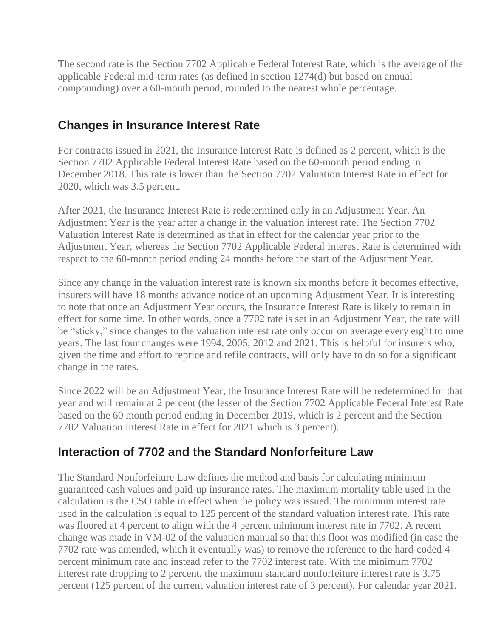The second rate is the Section 7702 Applicable Federal Interest Rate, which is the average of the applicable Federal mid-term rates (as defined in section 1274(d) but based on annual compounding) over a 60-month period, rounded to the nearest whole percentage.

#### **Changes in Insurance Interest Rate**

For contracts issued in 2021, the Insurance Interest Rate is defined as 2 percent, which is the Section 7702 Applicable Federal Interest Rate based on the 60-month period ending in December 2018. This rate is lower than the Section 7702 Valuation Interest Rate in effect for 2020, which was 3.5 percent.

After 2021, the Insurance Interest Rate is redetermined only in an Adjustment Year. An Adjustment Year is the year after a change in the valuation interest rate. The Section 7702 Valuation Interest Rate is determined as that in effect for the calendar year prior to the Adjustment Year, whereas the Section 7702 Applicable Federal Interest Rate is determined with respect to the 60-month period ending 24 months before the start of the Adjustment Year.

Since any change in the valuation interest rate is known six months before it becomes effective, insurers will have 18 months advance notice of an upcoming Adjustment Year. It is interesting to note that once an Adjustment Year occurs, the Insurance Interest Rate is likely to remain in effect for some time. In other words, once a 7702 rate is set in an Adjustment Year, the rate will be "sticky," since changes to the valuation interest rate only occur on average every eight to nine years. The last four changes were 1994, 2005, 2012 and 2021. This is helpful for insurers who, given the time and effort to reprice and refile contracts, will only have to do so for a significant change in the rates.

Since 2022 will be an Adjustment Year, the Insurance Interest Rate will be redetermined for that year and will remain at 2 percent (the lesser of the Section 7702 Applicable Federal Interest Rate based on the 60 month period ending in December 2019, which is 2 percent and the Section 7702 Valuation Interest Rate in effect for 2021 which is 3 percent).

#### **Interaction of 7702 and the Standard Nonforfeiture Law**

The Standard Nonforfeiture Law defines the method and basis for calculating minimum guaranteed cash values and paid-up insurance rates. The maximum mortality table used in the calculation is the CSO table in effect when the policy was issued. The minimum interest rate used in the calculation is equal to 125 percent of the standard valuation interest rate. This rate was floored at 4 percent to align with the 4 percent minimum interest rate in 7702. A recent change was made in VM-02 of the valuation manual so that this floor was modified (in case the 7702 rate was amended, which it eventually was) to remove the reference to the hard-coded 4 percent minimum rate and instead refer to the 7702 interest rate. With the minimum 7702 interest rate dropping to 2 percent, the maximum standard nonforfeiture interest rate is 3.75 percent (125 percent of the current valuation interest rate of 3 percent). For calendar year 2021,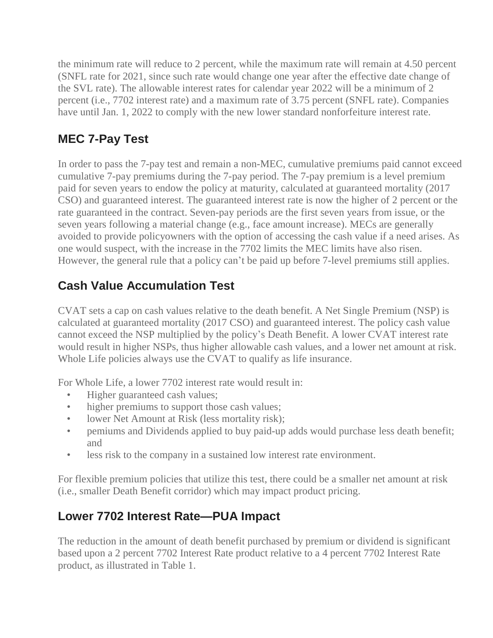the minimum rate will reduce to 2 percent, while the maximum rate will remain at 4.50 percent (SNFL rate for 2021, since such rate would change one year after the effective date change of the SVL rate). The allowable interest rates for calendar year 2022 will be a minimum of 2 percent (i.e., 7702 interest rate) and a maximum rate of 3.75 percent (SNFL rate). Companies have until Jan. 1, 2022 to comply with the new lower standard nonforfeiture interest rate.

# **MEC 7-Pay Test**

In order to pass the 7-pay test and remain a non-MEC, cumulative premiums paid cannot exceed cumulative 7-pay premiums during the 7-pay period. The 7-pay premium is a level premium paid for seven years to endow the policy at maturity, calculated at guaranteed mortality (2017 CSO) and guaranteed interest. The guaranteed interest rate is now the higher of 2 percent or the rate guaranteed in the contract. Seven-pay periods are the first seven years from issue, or the seven years following a material change (e.g., face amount increase). MECs are generally avoided to provide policyowners with the option of accessing the cash value if a need arises. As one would suspect, with the increase in the 7702 limits the MEC limits have also risen. However, the general rule that a policy can't be paid up before 7-level premiums still applies.

# **Cash Value Accumulation Test**

CVAT sets a cap on cash values relative to the death benefit. A Net Single Premium (NSP) is calculated at guaranteed mortality (2017 CSO) and guaranteed interest. The policy cash value cannot exceed the NSP multiplied by the policy's Death Benefit. A lower CVAT interest rate would result in higher NSPs, thus higher allowable cash values, and a lower net amount at risk. Whole Life policies always use the CVAT to qualify as life insurance.

For Whole Life, a lower 7702 interest rate would result in:

- Higher guaranteed cash values;
- higher premiums to support those cash values;
- lower Net Amount at Risk (less mortality risk);
- pemiums and Dividends applied to buy paid-up adds would purchase less death benefit; and
- less risk to the company in a sustained low interest rate environment.

For flexible premium policies that utilize this test, there could be a smaller net amount at risk (i.e., smaller Death Benefit corridor) which may impact product pricing.

# **Lower 7702 Interest Rate—PUA Impact**

The reduction in the amount of death benefit purchased by premium or dividend is significant based upon a 2 percent 7702 Interest Rate product relative to a 4 percent 7702 Interest Rate product, as illustrated in Table 1.